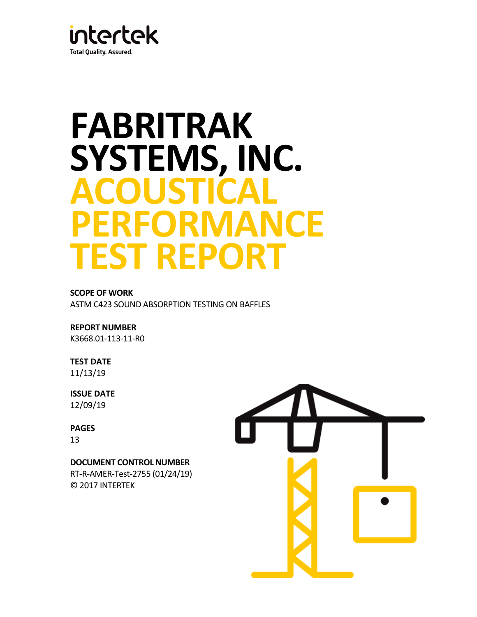

# **FABRITRAK SYSTEMS, INC. ACOUSTICAL PERFORMANCE TEST REPORT**

# **SCOPE OF WORK**

ASTM C423 SOUND ABSORPTION TESTING ON BAFFLES

# **REPORT NUMBER**

K3668.01-113-11-R0

# **TEST DATE**

11/13/19

# **ISSUE DATE** 12/09/19

# **PAGES** 13

**DOCUMENT CONTROL NUMBER**

RT-R-AMER-Test-2755 (01/24/19) © 2017 INTERTEK

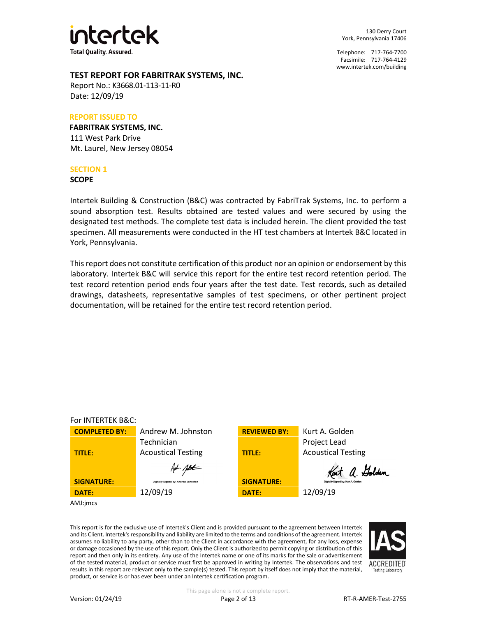

130 Derry Court York, Pennsylvania 17406

Telephone: 717-764-7700 Facsimile: 717-764-4129 [www.intertek.com/building](http://www.intertek.com/building)

## **TEST REPORT FOR FABRITRAK SYSTEMS, INC.**

Report No.: K3668.01-113-11-R0 Date: 12/09/19

#### **REPORT ISSUED TO**

**FABRITRAK SYSTEMS, INC.** 111 West Park Drive Mt. Laurel, New Jersey 08054

#### **SECTION 1**

**SCOPE**

Intertek Building & Construction (B&C) was contracted by FabriTrak Systems, Inc. to perform a sound absorption test. Results obtained are tested values and were secured by using the designated test methods. The complete test data is included herein. The client provided the test specimen. All measurements were conducted in the HT test chambers at Intertek B&C located in York, Pennsylvania.

This report does not constitute certification of this product nor an opinion or endorsement by this laboratory. Intertek B&C will service this report for the entire test record retention period. The test record retention period ends four years after the test date. Test records, such as detailed drawings, datasheets, representative samples of test specimens, or other pertinent project documentation, will be retained for the entire test record retention period.

#### For INTERTEK B&C: **COMPLETED BY:** Andrew M. Johnston **REVIEWED BY:** Kurt A. Golden Project Lead Technician Acoustical Testing **TITLE:** Acoustical Testing **TITLE:** Kent a. Golden Ant ptt **SIGNATURE: SIGNATURE: SIGNATURE: SIGNATURE: DATE:** 12/09/19 **DATE:** 12/09/19 AMJ:jmcs

This report is for the exclusive use of Intertek's Client and is provided pursuant to the agreement between Intertek and its Client. Intertek's responsibility and liability are limited to the terms and conditions of the agreement. Intertek assumes no liability to any party, other than to the Client in accordance with the agreement, for any loss, expense or damage occasioned by the use of this report. Only the Client is authorized to permit copying or distribution of this report and then only in its entirety. Any use of the Intertek name or one of its marks for the sale or advertisement of the tested material, product or service must first be approved in writing by Intertek. The observations and test results in this report are relevant only to the sample(s) tested. This report by itself does not imply that the material, product, or service is or has ever been under an Intertek certification program.

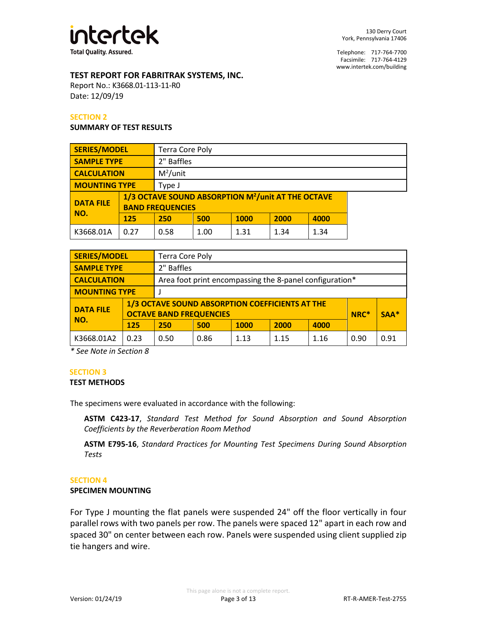

# **TEST REPORT FOR FABRITRAK SYSTEMS, INC.**

Report No.: K3668.01-113-11-R0 Date: 12/09/19

#### **SECTION 2**

#### **SUMMARY OF TEST RESULTS**

| <b>SERIES/MODEL</b>     |      | <b>Terra Core Poly</b>                                                                    |      |      |      |      |
|-------------------------|------|-------------------------------------------------------------------------------------------|------|------|------|------|
| <b>SAMPLE TYPE</b>      |      | 2" Baffles                                                                                |      |      |      |      |
| <b>CALCULATION</b>      |      | $M^2$ /unit                                                                               |      |      |      |      |
| <b>MOUNTING TYPE</b>    |      | Type J                                                                                    |      |      |      |      |
| <b>DATA FILE</b><br>NO. |      | 1/3 OCTAVE SOUND ABSORPTION M <sup>2</sup> /unit AT THE OCTAVE<br><b>BAND FREQUENCIES</b> |      |      |      |      |
|                         | 125  | 250                                                                                       | 500  | 1000 | 2000 | 4000 |
| K3668.01A               | 0.27 | 0.58                                                                                      | 1.00 | 1.31 | 1.34 | 1.34 |

| <b>SERIES/MODEL</b>              |      | <b>Terra Core Poly</b>                                                            |      |             |      |      |      |        |
|----------------------------------|------|-----------------------------------------------------------------------------------|------|-------------|------|------|------|--------|
| 2" Baffles<br><b>SAMPLE TYPE</b> |      |                                                                                   |      |             |      |      |      |        |
| <b>CALCULATION</b>               |      | Area foot print encompassing the 8-panel configuration*                           |      |             |      |      |      |        |
| <b>MOUNTING TYPE</b>             |      |                                                                                   |      |             |      |      |      |        |
| <b>DATA FILE</b>                 |      | 1/3 OCTAVE SOUND ABSORPTION COEFFICIENTS AT THE<br><b>OCTAVE BAND FREQUENCIES</b> |      |             |      |      | NRC* | $SAA*$ |
| NO.                              | 125  | 250                                                                               | 500  | <b>1000</b> | 2000 | 4000 |      |        |
| K3668.01A2                       | 0.23 | 0.50                                                                              | 0.86 | 1.13        | 1.15 | 1.16 | 0.90 | 0.91   |

*\* See Note in Section 8*

#### **SECTION 3**

#### **TEST METHODS**

The specimens were evaluated in accordance with the following:

**ASTM C423-17**, *Standard Test Method for Sound Absorption and Sound Absorption Coefficients by the Reverberation Room Method*

**ASTM E795-16**, *Standard Practices for Mounting Test Specimens During Sound Absorption Tests*

#### **SECTION 4**

#### **SPECIMEN MOUNTING**

For Type J mounting the flat panels were suspended 24" off the floor vertically in four parallel rows with two panels per row. The panels were spaced 12" apart in each row and spaced 30" on center between each row. Panels were suspended using client supplied zip tie hangers and wire.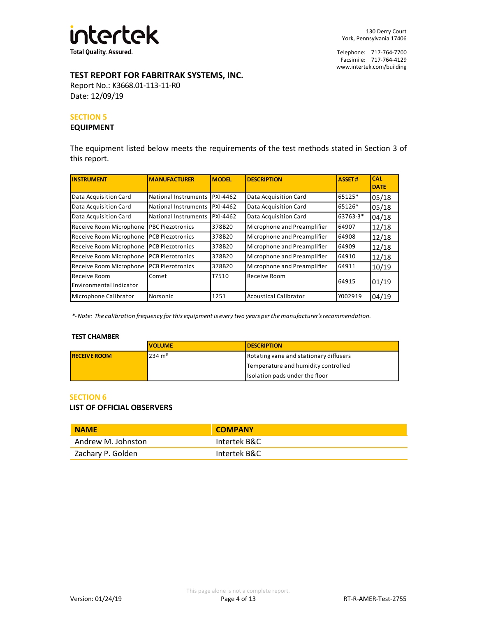

# **TEST REPORT FOR FABRITRAK SYSTEMS, INC.**

Report No.: K3668.01-113-11-R0 Date: 12/09/19

#### **SECTION 5**

#### **EQUIPMENT**

The equipment listed below meets the requirements of the test methods stated in Section 3 of this report.

| <b>INSTRUMENT</b>                       | <b>MANUFACTURER</b>            | <b>MODEL</b> | <b>DESCRIPTION</b>           | <b>ASSET#</b> | <b>CAL</b><br><b>DATE</b> |
|-----------------------------------------|--------------------------------|--------------|------------------------------|---------------|---------------------------|
| Data Acquisition Card                   | National Instruments IPXI-4462 |              | Data Acquisition Card        | 65125*        | 05/18                     |
| Data Acquisition Card                   | National Instruments IPXI-4462 |              | Data Acquisition Card        | 65126*        | 05/18                     |
| Data Acquisition Card                   | National Instruments IPXI-4462 |              | Data Acquisition Card        | 63763-3*      | 04/18                     |
| Receive Room Microphone                 | <b>PBC Piezotronics</b>        | 378B20       | Microphone and Preamplifier  | 64907         | 12/18                     |
| Receive Room Microphone                 | <b>PCB Piezotronics</b>        | 378B20       | Microphone and Preamplifier  | 64908         | 12/18                     |
| Receive Room Microphone                 | <b>PCB Piezotronics</b>        | 378B20       | Microphone and Preamplifier  | 64909         | 12/18                     |
| Receive Room Microphone                 | <b>PCB Piezotronics</b>        | 378B20       | Microphone and Preamplifier  | 64910         | 12/18                     |
| Receive Room Microphone                 | <b>PCB Piezotronics</b>        | 378B20       | Microphone and Preamplifier  | 64911         | 10/19                     |
| Receive Room<br>Environmental Indicator | Comet                          | T7510        | Receive Room                 | 64915         | 01/19                     |
| Microphone Calibrator                   | Norsonic                       | 1251         | <b>Acoustical Calibrator</b> | Y002919       | 04/19                     |

*\*- Note: The calibration frequency for this equipment is every two years per the manufacturer's recommendation.*

#### **TEST CHAMBER**

|                     | <b>VOLUME</b>     | <b>IDESCRIPTION</b>                    |
|---------------------|-------------------|----------------------------------------|
| <b>RECEIVE ROOM</b> | $234 \text{ m}^3$ | Rotating vane and stationary diffusers |
|                     |                   | Temperature and humidity controlled    |
|                     |                   | Isolation pads under the floor         |

#### **SECTION 6**

#### **LIST OF OFFICIAL OBSERVERS**

| <b>NAME</b>        | <b>COMPANY</b> |
|--------------------|----------------|
| Andrew M. Johnston | Intertek B&C   |
| Zachary P. Golden  | Intertek B&C   |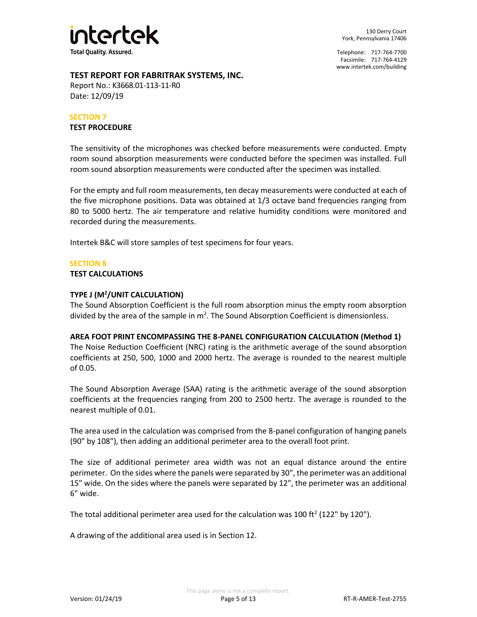

# **TEST REPORT FOR FABRITRAK SYSTEMS, INC.**

Report No.: K3668.01-113-11-R0 Date: 12/09/19

#### **SECTION 7**

#### **TEST PROCEDURE**

The sensitivity of the microphones was checked before measurements were conducted. Empty room sound absorption measurements were conducted before the specimen was installed. Full room sound absorption measurements were conducted after the specimen was installed.

For the empty and full room measurements, ten decay measurements were conducted at each of the five microphone positions. Data was obtained at 1/3 octave band frequencies ranging from 80 to 5000 hertz. The air temperature and relative humidity conditions were monitored and recorded during the measurements.

Intertek B&C will store samples of test specimens for four years.

#### **SECTION 8**

#### **TEST CALCULATIONS**

# **TYPE J (M<sup>2</sup> /UNIT CALCULATION)**

The Sound Absorption Coefficient is the full room absorption minus the empty room absorption divided by the area of the sample in  $m^2$ . The Sound Absorption Coefficient is dimensionless.

#### **AREA FOOT PRINT ENCOMPASSING THE 8-PANEL CONFIGURATION CALCULATION (Method 1)**

The Noise Reduction Coefficient (NRC) rating is the arithmetic average of the sound absorption coefficients at 250, 500, 1000 and 2000 hertz. The average is rounded to the nearest multiple of 0.05.

The Sound Absorption Average (SAA) rating is the arithmetic average of the sound absorption coefficients at the frequencies ranging from 200 to 2500 hertz. The average is rounded to the nearest multiple of 0.01.

The area used in the calculation was comprised from the 8-panel configuration of hanging panels (90" by 108"), then adding an additional perimeter area to the overall foot print.

The size of additional perimeter area width was not an equal distance around the entire perimeter. On the sides where the panels were separated by 30", the perimeter was an additional 15" wide. On the sides where the panels were separated by 12", the perimeter was an additional 6" wide.

The total additional perimeter area used for the calculation was 100 ft<sup>2</sup> (122" by 120").

A drawing of the additional area used is in Section 12.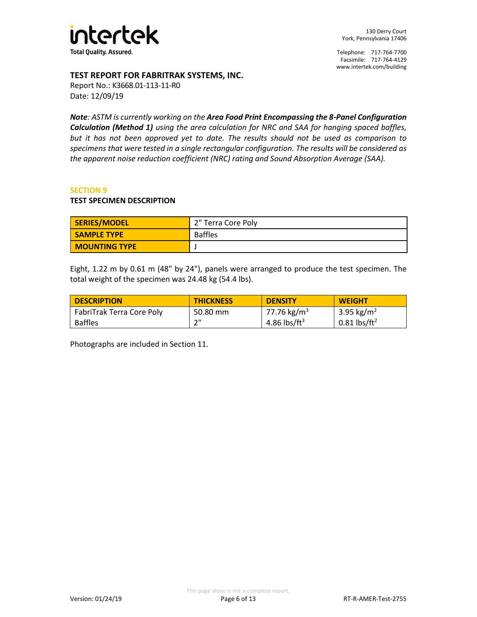

# **TEST REPORT FOR FABRITRAK SYSTEMS, INC.**

Report No.: K3668.01-113-11-R0 Date: 12/09/19

*Note: ASTM is currently working on the Area Food Print Encompassing the 8-Panel Configuration Calculation (Method 1) using the area calculation for NRC and SAA for hanging spaced baffles, but it has not been approved yet to date. The results should not be used as comparison to specimens that were tested in a single rectangular configuration. The results will be considered as the apparent noise reduction coefficient (NRC) rating and Sound Absorption Average (SAA).* 

#### **SECTION 9**

#### **TEST SPECIMEN DESCRIPTION**

| SERIES/MODEL         | 2" Terra Core Poly |
|----------------------|--------------------|
| <b>SAMPLE TYPE</b>   | <b>Baffles</b>     |
| <b>MOUNTING TYPE</b> |                    |

Eight, 1.22 m by 0.61 m (48" by 24"), panels were arranged to produce the test specimen. The total weight of the specimen was 24.48 kg (54.4 lbs).

| <b>DESCRIPTION</b>        | <b>THICKNESS</b> | <b>DENSITY</b>           | <b>WEIGHT</b>              |
|---------------------------|------------------|--------------------------|----------------------------|
| FabriTrak Terra Core Poly | 50.80 mm         | 77.76 kg/m <sup>3</sup>  | 3.95 kg/m <sup>2</sup>     |
| <b>Baffles</b>            | ייר              | 4.86 lbs/ft <sup>3</sup> | $0.81$ lbs/ft <sup>2</sup> |

Photographs are included in Section 11.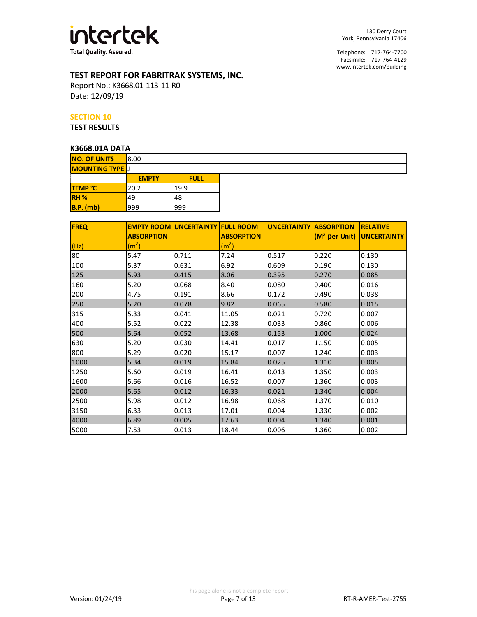

# **TEST REPORT FOR FABRITRAK SYSTEMS, INC.**

Report No.: K3668.01-113-11-R0 Date: 12/09/19

#### **SECTION 10**

**TEST RESULTS**

# **K3668.01A DATA**

| NJUUO.UIN DAIN         |             |
|------------------------|-------------|
| 8.00                   |             |
| <b>MOUNTING TYPE</b> J |             |
| <b>EMPTY</b>           | <b>FULL</b> |
| 20.2                   | 19.9        |
| 49                     | 48          |
| 999                    | 999         |
|                        |             |

| <b>FREQ</b> |                   | <b>EMPTY ROOM UNCERTAINTY FULL ROOM</b> |                   | <b>UNCERTAINTY ABSORPTION</b> |                                       | <b>RELATIVE</b> |
|-------------|-------------------|-----------------------------------------|-------------------|-------------------------------|---------------------------------------|-----------------|
|             | <b>ABSORPTION</b> |                                         | <b>ABSORPTION</b> |                               | (M <sup>2</sup> per Unit) UNCERTAINTY |                 |
| (Hz)        | (m <sup>2</sup> ) |                                         | (m <sup>2</sup> ) |                               |                                       |                 |
| 80          | 5.47              | 0.711                                   | 7.24              | 0.517                         | 0.220                                 | 0.130           |
| 100         | 5.37              | 0.631                                   | 6.92              | 0.609                         | 0.190                                 | 0.130           |
| 125         | 5.93              | 0.415                                   | 8.06              | 0.395                         | 0.270                                 | 0.085           |
| 160         | 5.20              | 0.068                                   | 8.40              | 0.080                         | 0.400                                 | 0.016           |
| 200         | 4.75              | 0.191                                   | 8.66              | 0.172                         | 0.490                                 | 0.038           |
| 250         | 5.20              | 0.078                                   | 9.82              | 0.065                         | 0.580                                 | 0.015           |
| 315         | 5.33              | 0.041                                   | 11.05             | 0.021                         | 0.720                                 | 0.007           |
| 400         | 5.52              | 0.022                                   | 12.38             | 0.033                         | 0.860                                 | 0.006           |
| 500         | 5.64              | 0.052                                   | 13.68             | 0.153                         | 1.000                                 | 0.024           |
| 630         | 5.20              | 0.030                                   | 14.41             | 0.017                         | 1.150                                 | 0.005           |
| 800         | 5.29              | 0.020                                   | 15.17             | 0.007                         | 1.240                                 | 0.003           |
| 1000        | 5.34              | 0.019                                   | 15.84             | 0.025                         | 1.310                                 | 0.005           |
| 1250        | 5.60              | 0.019                                   | 16.41             | 0.013                         | 1.350                                 | 0.003           |
| 1600        | 5.66              | 0.016                                   | 16.52             | 0.007                         | 1.360                                 | 0.003           |
| 2000        | 5.65              | 0.012                                   | 16.33             | 0.021                         | 1.340                                 | 0.004           |
| 2500        | 5.98              | 0.012                                   | 16.98             | 0.068                         | 1.370                                 | 0.010           |
| 3150        | 6.33              | 0.013                                   | 17.01             | 0.004                         | 1.330                                 | 0.002           |
| 4000        | 6.89              | 0.005                                   | 17.63             | 0.004                         | 1.340                                 | 0.001           |
| 5000        | 7.53              | 0.013                                   | 18.44             | 0.006                         | 1.360                                 | 0.002           |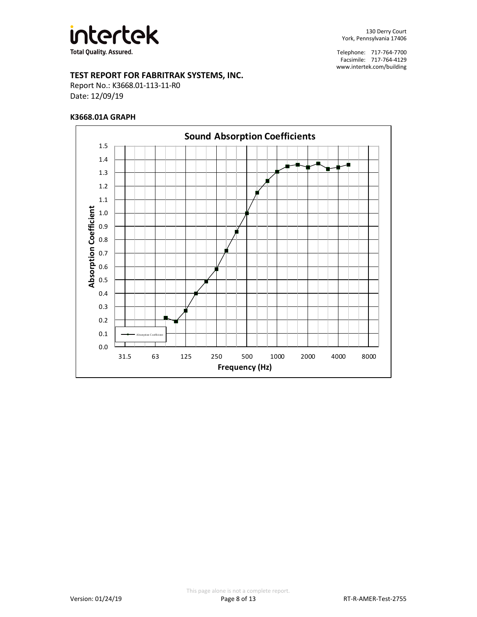

# **TEST REPORT FOR FABRITRAK SYSTEMS, INC.**

Report No.: K3668.01-113-11-R0 Date: 12/09/19

#### **K3668.01A GRAPH**

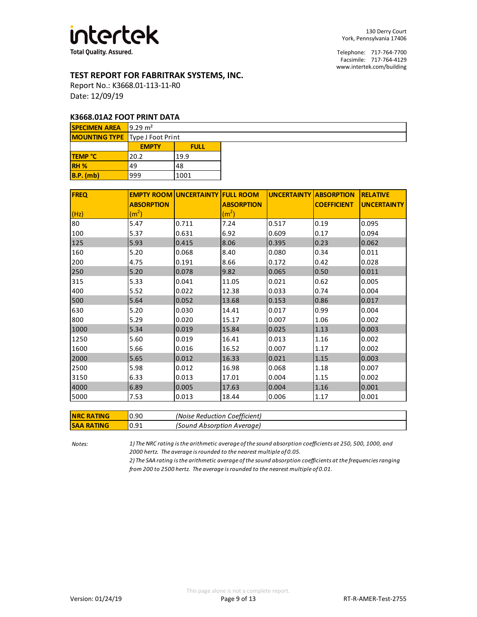

## **TEST REPORT FOR FABRITRAK SYSTEMS, INC.**

Report No.: K3668.01-113-11-R0 Date: 12/09/19

#### **K3668.01A2 FOOT PRINT DATA**

| <b>SPECIMEN AREA</b> 9.29 $m2$         |              |             |  |  |  |  |
|----------------------------------------|--------------|-------------|--|--|--|--|
| <b>MOUNTING TYPE</b> Type J Foot Print |              |             |  |  |  |  |
|                                        | <b>EMPTY</b> | <b>FULL</b> |  |  |  |  |
| <b>TEMP °C</b>                         | 20.2         | 19.9        |  |  |  |  |
| RH <sub>%</sub>                        | 49           | 48          |  |  |  |  |
| $B.P.$ (mb)                            | 999          | 1001        |  |  |  |  |

| <b>FREQ</b> |                   | <b>EMPTY ROOM UNCERTAINTY FULL ROOM</b> |                   | <b>UNCERTAINTY ABSORPTION</b> |                    | <b>RELATIVE</b>    |
|-------------|-------------------|-----------------------------------------|-------------------|-------------------------------|--------------------|--------------------|
|             | <b>ABSORPTION</b> |                                         | <b>ABSORPTION</b> |                               | <b>COEFFICIENT</b> | <b>UNCERTAINTY</b> |
| (Hz)        | (m <sup>2</sup> ) |                                         | (m <sup>2</sup> ) |                               |                    |                    |
| 80          | 5.47              | 0.711                                   | 7.24              | 0.517                         | 0.19               | 0.095              |
| 100         | 5.37              | 0.631                                   | 6.92              | 0.609                         | 0.17               | 0.094              |
| 125         | 5.93              | 0.415                                   | 8.06              | 0.395                         | 0.23               | 0.062              |
| 160         | 5.20              | 0.068                                   | 8.40              | 0.080                         | 0.34               | 0.011              |
| 200         | 4.75              | 0.191                                   | 8.66              | 0.172                         | 0.42               | 0.028              |
| 250         | 5.20              | 0.078                                   | 9.82              | 0.065                         | 0.50               | 0.011              |
| 315         | 5.33              | 0.041                                   | 11.05             | 0.021                         | 0.62               | 0.005              |
| 400         | 5.52              | 0.022                                   | 12.38             | 0.033                         | 0.74               | 0.004              |
| 500         | 5.64              | 0.052                                   | 13.68             | 0.153                         | 0.86               | 0.017              |
| 630         | 5.20              | 0.030                                   | 14.41             | 0.017                         | 0.99               | 0.004              |
| 800         | 5.29              | 0.020                                   | 15.17             | 0.007                         | 1.06               | 0.002              |
| 1000        | 5.34              | 0.019                                   | 15.84             | 0.025                         | 1.13               | 0.003              |
| 1250        | 5.60              | 0.019                                   | 16.41             | 0.013                         | 1.16               | 0.002              |
| 1600        | 5.66              | 0.016                                   | 16.52             | 0.007                         | 1.17               | 0.002              |
| 2000        | 5.65              | 0.012                                   | 16.33             | 0.021                         | 1.15               | 0.003              |
| 2500        | 5.98              | 0.012                                   | 16.98             | 0.068                         | 1.18               | 0.007              |
| 3150        | 6.33              | 0.013                                   | 17.01             | 0.004                         | 1.15               | 0.002              |
| 4000        | 6.89              | 0.005                                   | 17.63             | 0.004                         | 1.16               | 0.001              |
| 5000        | 7.53              | 0.013                                   | 18.44             | 0.006                         | 1.17               | 0.001              |

| <b>NRC RATING</b> | 10.90 | (Noise Reduction Coefficient) |
|-------------------|-------|-------------------------------|
| <b>SAA RATING</b> | 10.91 | (Sound Absorption Average)    |

*Notes: 1) The NRC rating is the arithmetic average of the sound absorption coefficients at 250, 500, 1000, and 2000 hertz. The average is rounded to the nearest multiple of 0.05.*

> *2) The SAA rating is the arithmetic average of the sound absorption coefficients at the frequencies ranging from 200 to 2500 hertz. The average is rounded to the nearest multiple of 0.01.*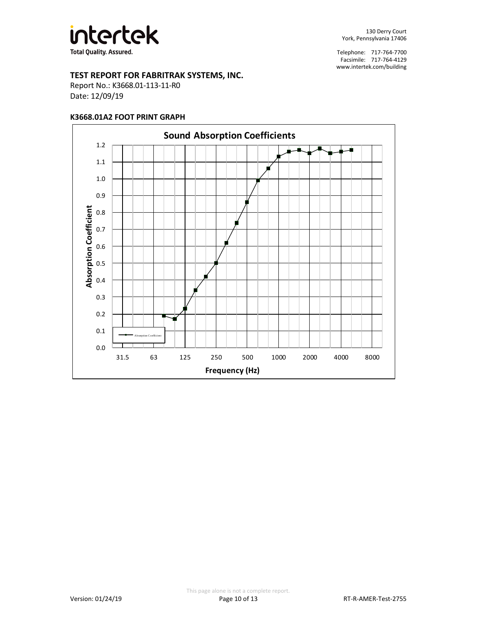

# **TEST REPORT FOR FABRITRAK SYSTEMS, INC.**

Report No.: K3668.01-113-11-R0 Date: 12/09/19

#### **K3668.01A2 FOOT PRINT GRAPH**

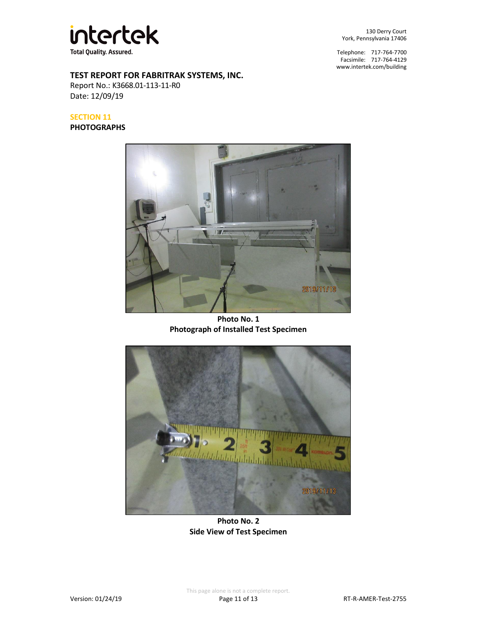

**TEST REPORT FOR FABRITRAK SYSTEMS, INC.**

Report No.: K3668.01-113-11-R0 Date: 12/09/19

## **SECTION 11**

**PHOTOGRAPHS**

Telephone: 717-764-7700 Facsimile: 717-764-4129 [www.intertek.com/building](http://www.intertek.com/building)



**Photo No. 1 Photograph of Installed Test Specimen**



**Photo No. 2 Side View of Test Specimen**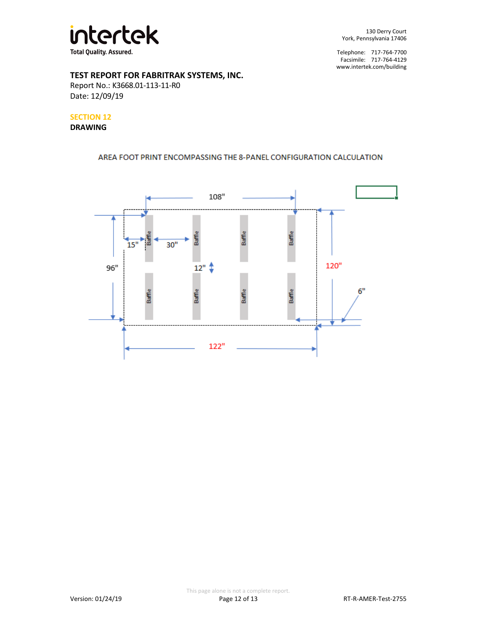

# **TEST REPORT FOR FABRITRAK SYSTEMS, INC.**

Report No.: K3668.01-113-11-R0 Date: 12/09/19

# **SECTION 12**

#### **DRAWING**

# AREA FOOT PRINT ENCOMPASSING THE 8-PANEL CONFIGURATION CALCULATION